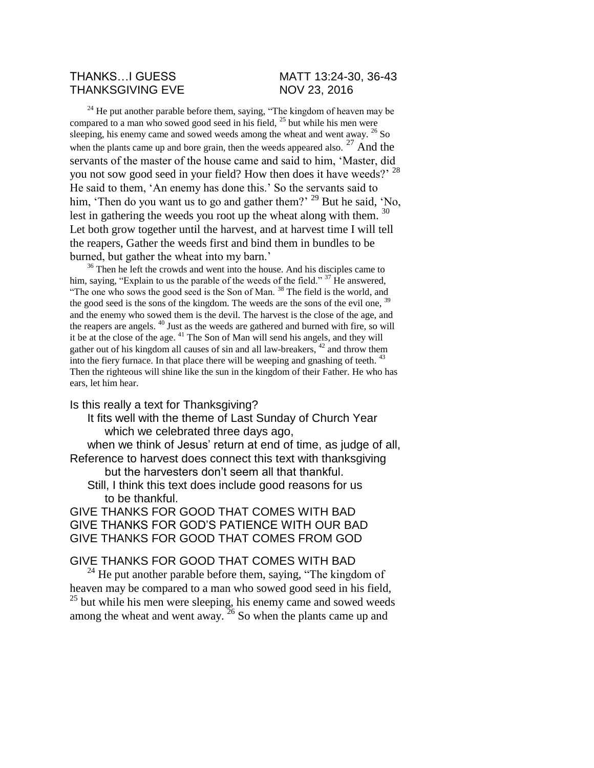## THANKS...I GUESS MATT 13:24-30, 36-43 THANKSGIVING EVE NOV 23, 2016

 $^{24}$  He put another parable before them, saying, "The kingdom of heaven may be compared to a man who sowed good seed in his field,  $^{25}$  but while his men were sleeping, his enemy came and sowed weeds among the wheat and went away. <sup>26</sup> So when the plants came up and bore grain, then the weeds appeared also.  $27$  And the servants of the master of the house came and said to him, 'Master, did you not sow good seed in your field? How then does it have weeds?' <sup>28</sup> He said to them, 'An enemy has done this.' So the servants said to him, 'Then do you want us to go and gather them?' <sup>29</sup> But he said, 'No, lest in gathering the weeds you root up the wheat along with them. <sup>30</sup> Let both grow together until the harvest, and at harvest time I will tell the reapers, Gather the weeds first and bind them in bundles to be burned, but gather the wheat into my barn.'

<sup>36</sup> Then he left the crowds and went into the house. And his disciples came to him, saying, "Explain to us the parable of the weeds of the field."  $37$  He answered, "The one who sows the good seed is the Son of Man.<sup>38</sup> The field is the world, and the good seed is the sons of the kingdom. The weeds are the sons of the evil one, <sup>39</sup> and the enemy who sowed them is the devil. The harvest is the close of the age, and the reapers are angels. <sup>40</sup> Just as the weeds are gathered and burned with fire, so will it be at the close of the age. <sup>41</sup> The Son of Man will send his angels, and they will gather out of his kingdom all causes of sin and all law-breakers,  $42$  and throw them into the fiery furnace. In that place there will be weeping and gnashing of teeth.  $43$ Then the righteous will shine like the sun in the kingdom of their Father. He who has ears, let him hear.

Is this really a text for Thanksgiving?

It fits well with the theme of Last Sunday of Church Year which we celebrated three days ago,

when we think of Jesus' return at end of time, as judge of all, Reference to harvest does connect this text with thanksgiving

but the harvesters don't seem all that thankful.

Still, I think this text does include good reasons for us to be thankful.

GIVE THANKS FOR GOOD THAT COMES WITH BAD GIVE THANKS FOR GOD'S PATIENCE WITH OUR BAD GIVE THANKS FOR GOOD THAT COMES FROM GOD

## GIVE THANKS FOR GOOD THAT COMES WITH BAD

<sup>24</sup> He put another parable before them, saying, "The kingdom of heaven may be compared to a man who sowed good seed in his field, <sup>25</sup> but while his men were sleeping, his enemy came and sowed weeds among the wheat and went away.  $26$  So when the plants came up and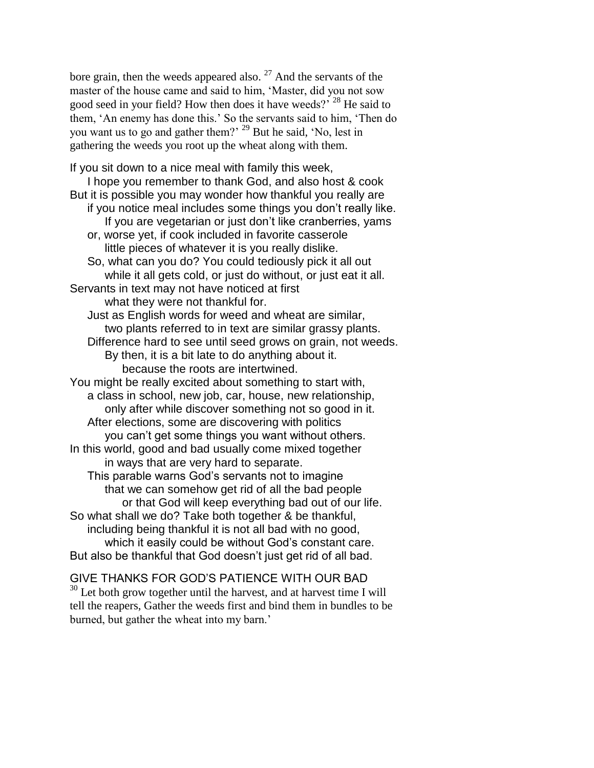bore grain, then the weeds appeared also.  $27$  And the servants of the master of the house came and said to him, 'Master, did you not sow good seed in your field? How then does it have weeds?<sup>28</sup> He said to them, 'An enemy has done this.' So the servants said to him, 'Then do you want us to go and gather them?' <sup>29</sup> But he said, 'No, lest in gathering the weeds you root up the wheat along with them.

If you sit down to a nice meal with family this week, I hope you remember to thank God, and also host & cook But it is possible you may wonder how thankful you really are if you notice meal includes some things you don't really like. If you are vegetarian or just don't like cranberries, yams or, worse yet, if cook included in favorite casserole little pieces of whatever it is you really dislike. So, what can you do? You could tediously pick it all out while it all gets cold, or just do without, or just eat it all. Servants in text may not have noticed at first what they were not thankful for. Just as English words for weed and wheat are similar, two plants referred to in text are similar grassy plants. Difference hard to see until seed grows on grain, not weeds. By then, it is a bit late to do anything about it. because the roots are intertwined. You might be really excited about something to start with, a class in school, new job, car, house, new relationship, only after while discover something not so good in it. After elections, some are discovering with politics you can't get some things you want without others. In this world, good and bad usually come mixed together in ways that are very hard to separate. This parable warns God's servants not to imagine that we can somehow get rid of all the bad people or that God will keep everything bad out of our life. So what shall we do? Take both together & be thankful, including being thankful it is not all bad with no good, which it easily could be without God's constant care. But also be thankful that God doesn't just get rid of all bad.

## GIVE THANKS FOR GOD'S PATIENCE WITH OUR BAD

<sup>30</sup> Let both grow together until the harvest, and at harvest time I will tell the reapers, Gather the weeds first and bind them in bundles to be burned, but gather the wheat into my barn.'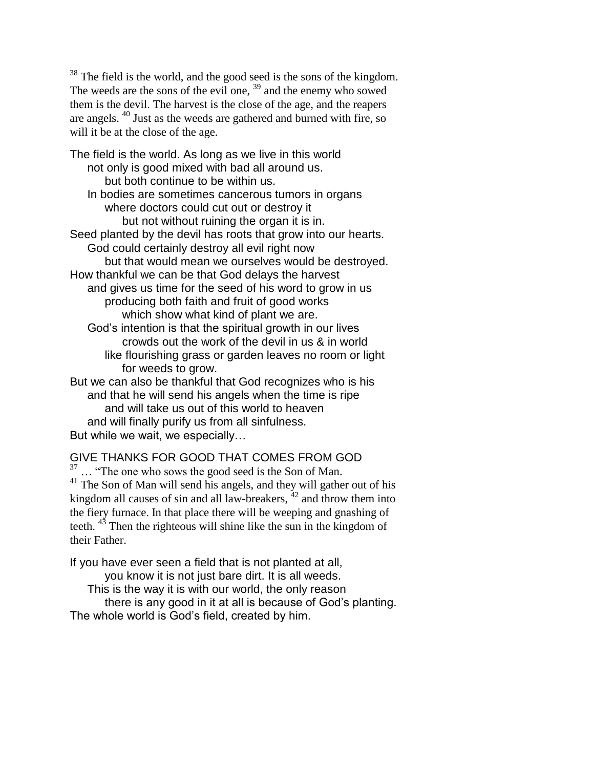<sup>38</sup> The field is the world, and the good seed is the sons of the kingdom. The weeds are the sons of the evil one, <sup>39</sup> and the enemy who sowed them is the devil. The harvest is the close of the age, and the reapers are angels. <sup>40</sup> Just as the weeds are gathered and burned with fire, so will it be at the close of the age.

The field is the world. As long as we live in this world not only is good mixed with bad all around us. but both continue to be within us. In bodies are sometimes cancerous tumors in organs where doctors could cut out or destroy it but not without ruining the organ it is in. Seed planted by the devil has roots that grow into our hearts. God could certainly destroy all evil right now but that would mean we ourselves would be destroyed. How thankful we can be that God delays the harvest and gives us time for the seed of his word to grow in us producing both faith and fruit of good works which show what kind of plant we are. God's intention is that the spiritual growth in our lives crowds out the work of the devil in us & in world like flourishing grass or garden leaves no room or light for weeds to grow. But we can also be thankful that God recognizes who is his and that he will send his angels when the time is ripe and will take us out of this world to heaven and will finally purify us from all sinfulness. But while we wait, we especially…

GIVE THANKS FOR GOOD THAT COMES FROM GOD ... "The one who sows the good seed is the Son of Man.  $41$  The Son of Man will send his angels, and they will gather out of his kingdom all causes of sin and all law-breakers, <sup>42</sup> and throw them into the fiery furnace. In that place there will be weeping and gnashing of teeth.  $43$  Then the righteous will shine like the sun in the kingdom of their Father.

If you have ever seen a field that is not planted at all, you know it is not just bare dirt. It is all weeds.

This is the way it is with our world, the only reason there is any good in it at all is because of God's planting.

The whole world is God's field, created by him.